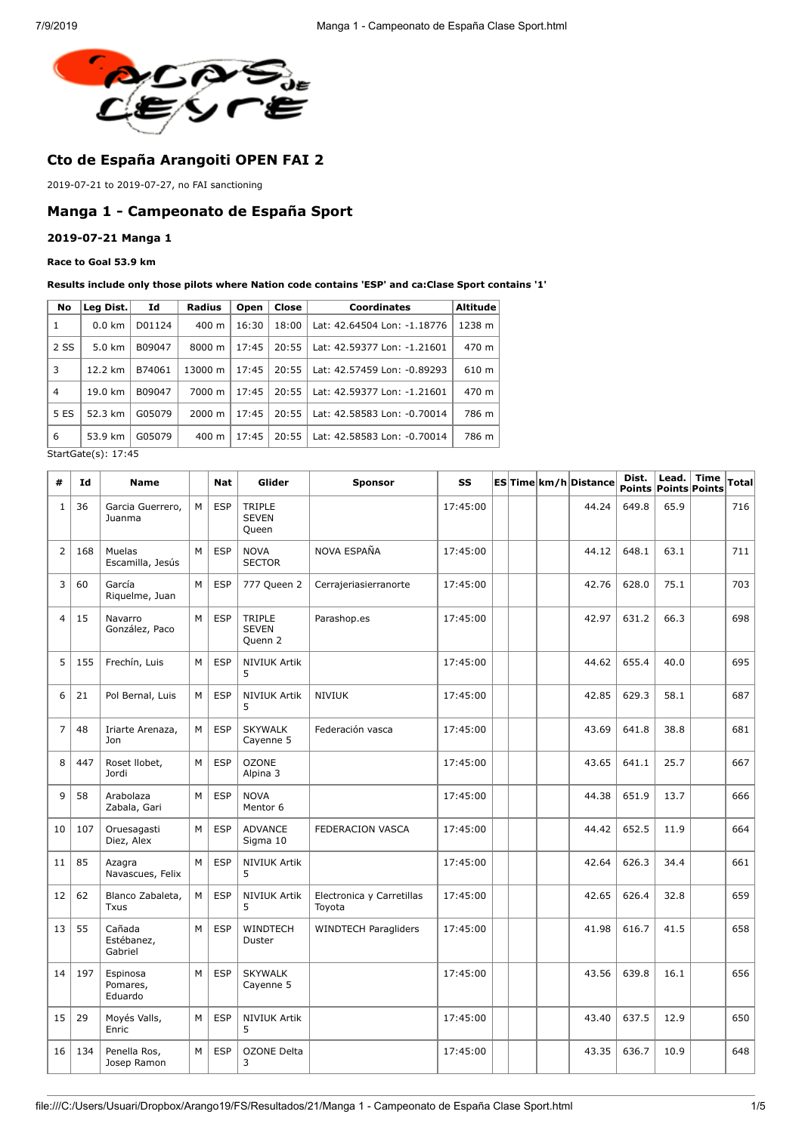

# **Cto de España Arangoiti OPEN FAI 2**

2019-07-21 to 2019-07-27, no FAI sanctioning

### **Manga 1 - Campeonato de España Sport**

#### **2019-07-21 Manga 1**

#### **Race to Goal 53.9 km**

#### **Results include only those pilots where Nation code contains 'ESP' and ca:Clase Sport contains '1'**

| No             | Leg Dist.        | Id     | <b>Radius</b>   | Open  | Close | Coordinates                 | <b>Altitude</b> |
|----------------|------------------|--------|-----------------|-------|-------|-----------------------------|-----------------|
| 1              | $0.0 \text{ km}$ | D01124 | $400 \text{ m}$ | 16:30 | 18:00 | Lat: 42.64504 Lon: -1.18776 | 1238 m          |
| 2 SS           | 5.0 km           | B09047 | 8000 m          | 17:45 | 20:55 | Lat: 42.59377 Lon: -1.21601 | 470 m           |
| 3              | 12.2 km          | B74061 | 13000 m         | 17:45 | 20:55 | Lat: 42.57459 Lon: -0.89293 | 610 m           |
| $\overline{4}$ | 19.0 km          | B09047 | 7000 m          | 17:45 | 20:55 | Lat: 42.59377 Lon: -1.21601 | 470 m           |
| 5 ES           | 52.3 km          | G05079 | 2000 m          | 17:45 | 20:55 | Lat: 42.58583 Lon: -0.70014 | 786 m           |
| 6              | 53.9 km          | G05079 | $400 \text{ m}$ | 17:45 | 20:55 | Lat: 42.58583 Lon: -0.70014 | 786 m           |

StartGate(s): 17:45

| #              | Id  | <b>Name</b>                     |   | <b>Nat</b> | Glider                                   | <b>Sponsor</b>                      | SS       |  | ESTime km/h Distance | Dist. | Lead. Time<br><b>Points Points Points</b> | Total |
|----------------|-----|---------------------------------|---|------------|------------------------------------------|-------------------------------------|----------|--|----------------------|-------|-------------------------------------------|-------|
| $\mathbf{1}$   | 36  | Garcia Guerrero,<br>Juanma      | M | <b>ESP</b> | <b>TRIPLE</b><br><b>SEVEN</b><br>Queen   |                                     | 17:45:00 |  | 44.24                | 649.8 | 65.9                                      | 716   |
| $\overline{2}$ | 168 | Muelas<br>Escamilla, Jesús      | М | <b>ESP</b> | <b>NOVA</b><br><b>SECTOR</b>             | NOVA ESPAÑA                         | 17:45:00 |  | 44.12                | 648.1 | 63.1                                      | 711   |
| 3              | 60  | García<br>Riquelme, Juan        | M | <b>ESP</b> | 777 Queen 2                              | Cerrajeriasierranorte               | 17:45:00 |  | 42.76                | 628.0 | 75.1                                      | 703   |
| $\overline{4}$ | 15  | Navarro<br>González, Paco       | M | <b>ESP</b> | <b>TRIPLE</b><br><b>SEVEN</b><br>Quenn 2 | Parashop.es                         | 17:45:00 |  | 42.97                | 631.2 | 66.3                                      | 698   |
| 5              | 155 | Frechín, Luis                   | M | <b>ESP</b> | <b>NIVIUK Artik</b><br>5                 |                                     | 17:45:00 |  | 44.62                | 655.4 | 40.0                                      | 695   |
| 6              | 21  | Pol Bernal, Luis                | M | ESP        | <b>NIVIUK Artik</b><br>5                 | <b>NIVIUK</b>                       | 17:45:00 |  | 42.85                | 629.3 | 58.1                                      | 687   |
| $\overline{7}$ | 48  | Iriarte Arenaza,<br>Jon         | M | <b>ESP</b> | <b>SKYWALK</b><br>Cayenne 5              | Federación vasca                    | 17:45:00 |  | 43.69                | 641.8 | 38.8                                      | 681   |
| 8              | 447 | Roset Ilobet,<br>Jordi          | M | <b>ESP</b> | <b>OZONE</b><br>Alpina 3                 |                                     | 17:45:00 |  | 43.65                | 641.1 | 25.7                                      | 667   |
| 9              | 58  | Arabolaza<br>Zabala, Gari       | М | <b>ESP</b> | <b>NOVA</b><br>Mentor 6                  |                                     | 17:45:00 |  | 44.38                | 651.9 | 13.7                                      | 666   |
| 10             | 107 | Oruesagasti<br>Diez, Alex       | M | <b>ESP</b> | <b>ADVANCE</b><br>Sigma 10               | FEDERACION VASCA                    | 17:45:00 |  | 44.42                | 652.5 | 11.9                                      | 664   |
| 11             | 85  | Azagra<br>Navascues, Felix      | M | <b>ESP</b> | <b>NIVIUK Artik</b><br>5                 |                                     | 17:45:00 |  | 42.64                | 626.3 | 34.4                                      | 661   |
| 12             | 62  | Blanco Zabaleta,<br><b>Txus</b> | М | <b>ESP</b> | <b>NIVIUK Artik</b><br>5                 | Electronica y Carretillas<br>Toyota | 17:45:00 |  | 42.65                | 626.4 | 32.8                                      | 659   |
| 13             | 55  | Cañada<br>Estébanez,<br>Gabriel | M | <b>ESP</b> | WINDTECH<br>Duster                       | <b>WINDTECH Paragliders</b>         | 17:45:00 |  | 41.98                | 616.7 | 41.5                                      | 658   |
| 14             | 197 | Espinosa<br>Pomares,<br>Eduardo | M | <b>ESP</b> | <b>SKYWALK</b><br>Cayenne 5              |                                     | 17:45:00 |  | 43.56                | 639.8 | 16.1                                      | 656   |
| 15             | 29  | Moyés Valls,<br>Enric           | M | <b>ESP</b> | <b>NIVIUK Artik</b><br>5                 |                                     | 17:45:00 |  | 43.40                | 637.5 | 12.9                                      | 650   |
| 16             | 134 | Penella Ros,<br>Josep Ramon     | M | <b>ESP</b> | <b>OZONE Delta</b><br>3                  |                                     | 17:45:00 |  | 43.35                | 636.7 | 10.9                                      | 648   |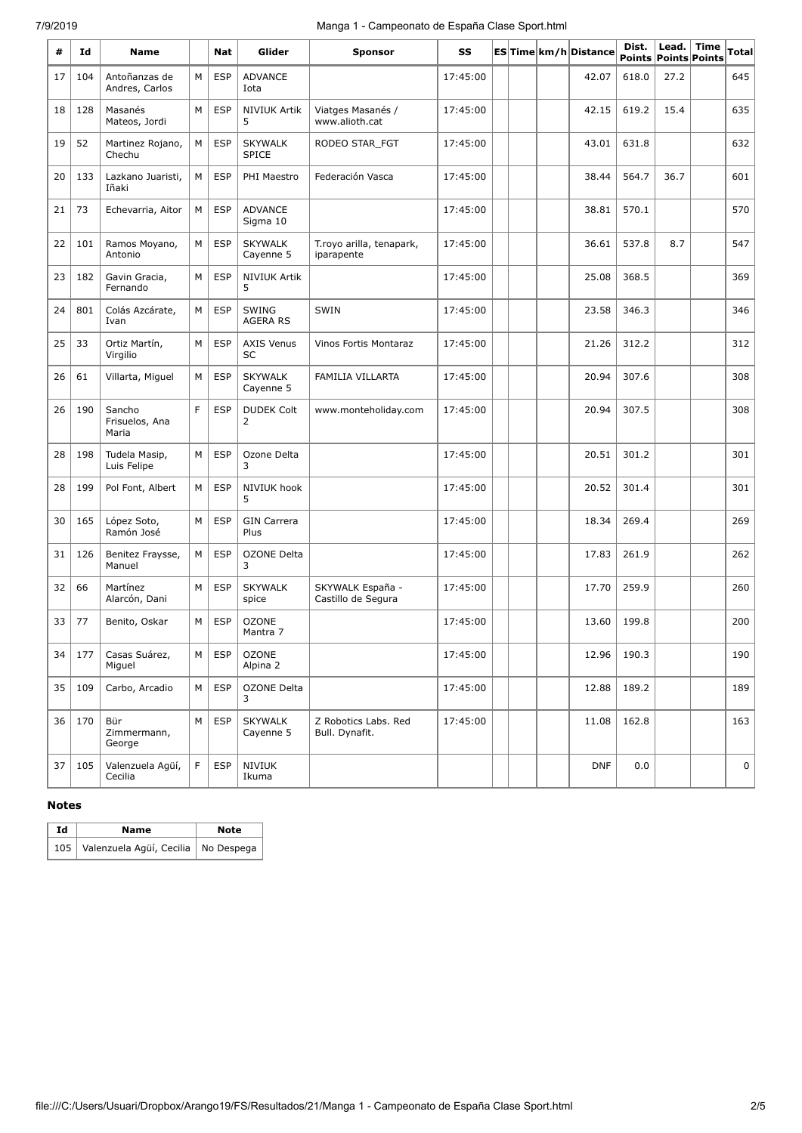## 7/9/2019 Manga 1 - Campeonato de España Clase Sport.html

| #  | Id  | Name                              |   | Nat        | Glider                          | <b>Sponsor</b>                         | SS       |  | ESTime km/h Distance | Dist. | Lead.<br><b>Points Points Points</b> | <b>Time</b> | Total |
|----|-----|-----------------------------------|---|------------|---------------------------------|----------------------------------------|----------|--|----------------------|-------|--------------------------------------|-------------|-------|
| 17 | 104 | Antoñanzas de<br>Andres, Carlos   | M | <b>ESP</b> | <b>ADVANCE</b><br>Iota          |                                        | 17:45:00 |  | 42.07                | 618.0 | 27.2                                 |             | 645   |
| 18 | 128 | Masanés<br>Mateos, Jordi          | М | <b>ESP</b> | <b>NIVIUK Artik</b><br>5        | Viatges Masanés /<br>www.alioth.cat    | 17:45:00 |  | 42.15                | 619.2 | 15.4                                 |             | 635   |
| 19 | 52  | Martinez Rojano,<br>Chechu        | М | <b>ESP</b> | <b>SKYWALK</b><br><b>SPICE</b>  | RODEO STAR_FGT                         | 17:45:00 |  | 43.01                | 631.8 |                                      |             | 632   |
| 20 | 133 | Lazkano Juaristi,<br>Iñaki        | M | <b>ESP</b> | PHI Maestro                     | Federación Vasca                       | 17:45:00 |  | 38.44                | 564.7 | 36.7                                 |             | 601   |
| 21 | 73  | Echevarria, Aitor                 | M | <b>ESP</b> | <b>ADVANCE</b><br>Sigma 10      |                                        | 17:45:00 |  | 38.81                | 570.1 |                                      |             | 570   |
| 22 | 101 | Ramos Moyano,<br>Antonio          | М | <b>ESP</b> | <b>SKYWALK</b><br>Cayenne 5     | T.royo arilla, tenapark,<br>iparapente | 17:45:00 |  | 36.61                | 537.8 | 8.7                                  |             | 547   |
| 23 | 182 | Gavin Gracia,<br>Fernando         | М | <b>ESP</b> | <b>NIVIUK Artik</b><br>5        |                                        | 17:45:00 |  | 25.08                | 368.5 |                                      |             | 369   |
| 24 | 801 | Colás Azcárate,<br>Ivan           | М | <b>ESP</b> | <b>SWING</b><br><b>AGERA RS</b> | SWIN                                   | 17:45:00 |  | 23.58                | 346.3 |                                      |             | 346   |
| 25 | 33  | Ortiz Martín,<br>Virgilio         | М | <b>ESP</b> | <b>AXIS Venus</b><br><b>SC</b>  | Vinos Fortis Montaraz                  | 17:45:00 |  | 21.26                | 312.2 |                                      |             | 312   |
| 26 | 61  | Villarta, Miguel                  | М | <b>ESP</b> | <b>SKYWALK</b><br>Cayenne 5     | <b>FAMILIA VILLARTA</b>                | 17:45:00 |  | 20.94                | 307.6 |                                      |             | 308   |
| 26 | 190 | Sancho<br>Frisuelos, Ana<br>Maria | F | <b>ESP</b> | <b>DUDEK Colt</b><br>2          | www.monteholiday.com                   | 17:45:00 |  | 20.94                | 307.5 |                                      |             | 308   |
| 28 | 198 | Tudela Masip,<br>Luis Felipe      | M | <b>ESP</b> | Ozone Delta<br>3                |                                        | 17:45:00 |  | 20.51                | 301.2 |                                      |             | 301   |
| 28 | 199 | Pol Font, Albert                  | М | <b>ESP</b> | NIVIUK hook<br>5                |                                        | 17:45:00 |  | 20.52                | 301.4 |                                      |             | 301   |
| 30 | 165 | López Soto,<br>Ramón José         | М | <b>ESP</b> | <b>GIN Carrera</b><br>Plus      |                                        | 17:45:00 |  | 18.34                | 269.4 |                                      |             | 269   |
| 31 | 126 | Benitez Fraysse,<br>Manuel        | М | <b>ESP</b> | <b>OZONE Delta</b><br>3         |                                        | 17:45:00 |  | 17.83                | 261.9 |                                      |             | 262   |
| 32 | 66  | Martínez<br>Alarcón, Dani         | M | <b>ESP</b> | <b>SKYWALK</b><br>spice         | SKYWALK España -<br>Castillo de Segura | 17:45:00 |  | 17.70                | 259.9 |                                      |             | 260   |
| 33 | 77  | Benito, Oskar                     | M | <b>ESP</b> | <b>OZONE</b><br>Mantra 7        |                                        | 17:45:00 |  | 13.60                | 199.8 |                                      |             | 200   |
| 34 | 177 | Casas Suárez,<br>Miguel           | M | <b>ESP</b> | <b>OZONE</b><br>Alpina 2        |                                        | 17:45:00 |  | 12.96                | 190.3 |                                      |             | 190   |
| 35 | 109 | Carbo, Arcadio                    | М | <b>ESP</b> | OZONE Delta<br>3                |                                        | 17:45:00 |  | 12.88                | 189.2 |                                      |             | 189   |
| 36 | 170 | Bür<br>Zimmermann,<br>George      | M | <b>ESP</b> | <b>SKYWALK</b><br>Cayenne 5     | Z Robotics Labs. Red<br>Bull. Dynafit. | 17:45:00 |  | 11.08                | 162.8 |                                      |             | 163   |
| 37 | 105 | Valenzuela Agüí,<br>Cecilia       | F | <b>ESP</b> | NIVIUK<br>Ikuma                 |                                        |          |  | <b>DNF</b>           | 0.0   |                                      |             | 0     |

### **Notes**

| Id | Name                                      | <b>Note</b> |
|----|-------------------------------------------|-------------|
|    | 105 Valenzuela Agüí, Cecilia   No Despega |             |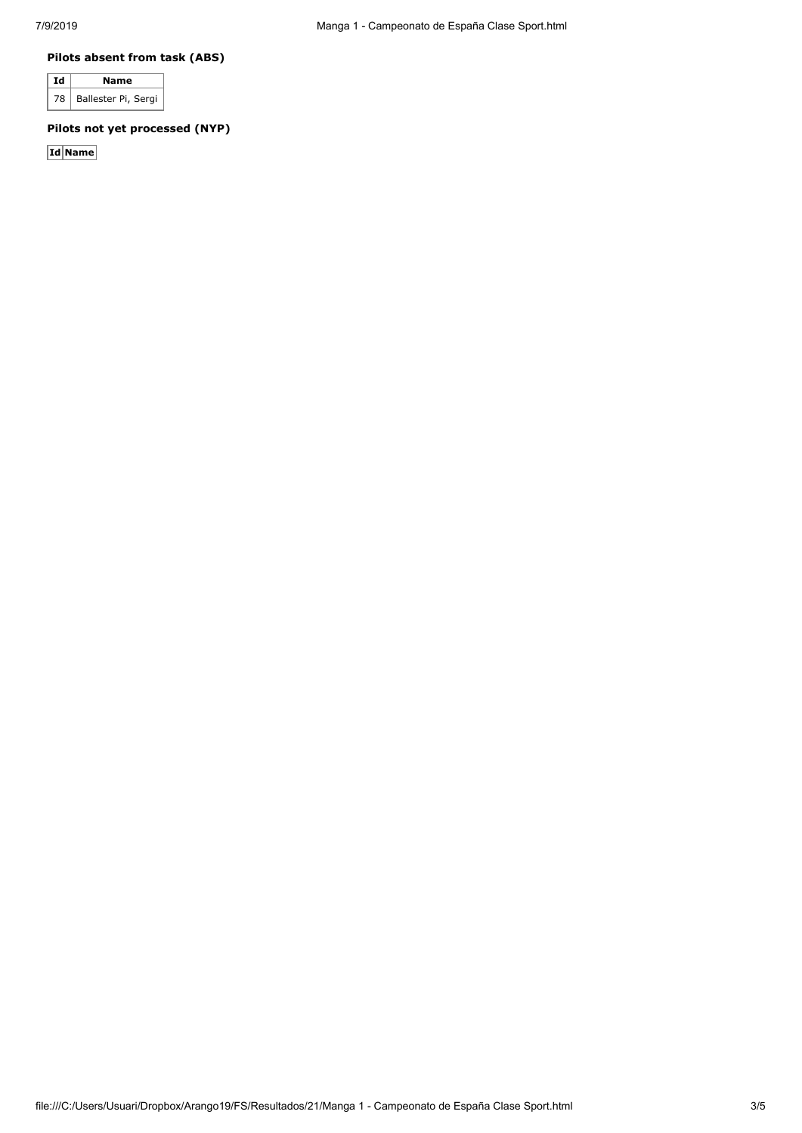#### **Pilots absent from task (ABS)**

| Ιd | Name                     |
|----|--------------------------|
|    | 78   Ballester Pi, Sergi |

## **Pilots not yet processed (NYP)**

**Id Name**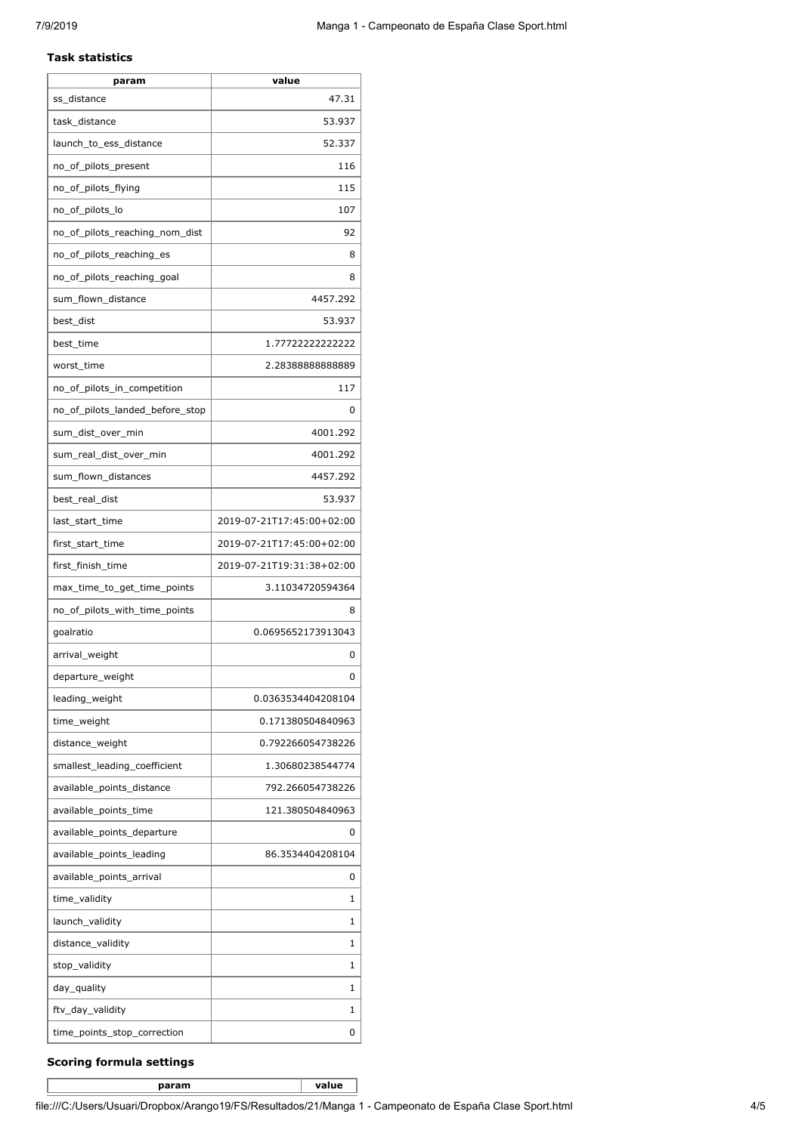#### **Task statistics**

| param                           | value                     |
|---------------------------------|---------------------------|
| ss_distance                     | 47.31                     |
| task_distance                   | 53.937                    |
| launch_to_ess_distance          | 52.337                    |
| no_of_pilots_present            | 116                       |
| no_of_pilots_flying             | 115                       |
| no_of_pilots_lo                 | 107                       |
| no of pilots reaching nom dist  | 92                        |
| no_of_pilots_reaching_es        | 8                         |
| no_of_pilots_reaching_goal      | 8                         |
| sum_flown_distance              | 4457.292                  |
| best_dist                       | 53.937                    |
| best_time                       | 1.77722222222222          |
| worst_time                      | 2.2838888888889           |
| no_of_pilots_in_competition     | 117                       |
| no of pilots landed before stop | 0                         |
| sum_dist_over_min               | 4001.292                  |
| sum_real_dist_over_min          | 4001.292                  |
| sum_flown_distances             | 4457.292                  |
| best_real_dist                  | 53.937                    |
| last_start_time                 | 2019-07-21T17:45:00+02:00 |
| first_start_time                | 2019-07-21T17:45:00+02:00 |
| first_finish_time               | 2019-07-21T19:31:38+02:00 |
| max_time_to_get_time_points     | 3.11034720594364          |
| no_of_pilots_with_time_points   | 8                         |
| goalratio                       | 0.0695652173913043        |
| arrival_weight                  | 0                         |
| departure_weight                | U                         |
| leading_weight                  | 0.0363534404208104        |
| time_weight                     | 0.171380504840963         |
| distance weight                 | 0.792266054738226         |
| smallest_leading_coefficient    | 1.30680238544774          |
| available_points_distance       | 792.266054738226          |
| available_points_time           | 121.380504840963          |
| available_points_departure      | 0                         |
| available_points_leading        | 86.3534404208104          |
| available_points_arrival        | 0                         |
| time_validity                   | 1                         |
| launch_validity                 | 1                         |
| distance_validity               | 1                         |
| stop_validity                   | 1                         |
| day_quality                     | 1                         |
| ftv_day_validity                | 1                         |
| time_points_stop_correction     | 0                         |

#### **Scoring formula settings**

**param value**